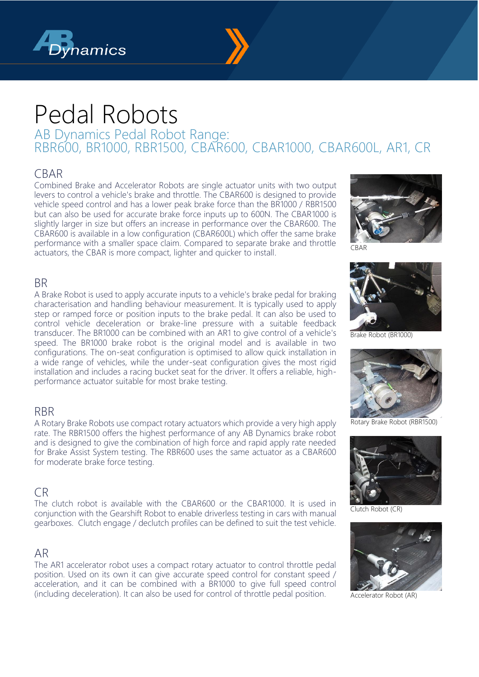



# Pedal Robots

AB Dynamics Pedal Robot Range: RBR600, BR1000, RBR1500, CBAR600, CBAR1000, CBAR600L, AR1, CR

# CBAR

Combined Brake and Accelerator Robots are single actuator units with two output levers to control a vehicle's brake and throttle. The CBAR600 is designed to provide vehicle speed control and has a lower peak brake force than the BR1000 / RBR1500 but can also be used for accurate brake force inputs up to 600N. The CBAR1000 is slightly larger in size but offers an increase in performance over the CBAR600. The  $C\overline{B}$ AR600 is available in a low configuration ( $C\overline{B}$ AR600L) which offer the same brake performance with a smaller space claim. Compared to separate brake and throttle actuators, the CBAR is more compact, lighter and quicker to install.



CBAR

## BR

A Brake Robot is used to apply accurate inputs to a vehicle's brake pedal for braking characterisation and handling behaviour measurement. It is typically used to apply step or ramped force or position inputs to the brake pedal. It can also be used to control vehicle deceleration or brake-line pressure with a suitable feedback transducer. The BR1000 can be combined with an AR1 to give control of a vehicle's speed. The BR1000 brake robot is the original model and is available in two configurations. The on-seat configuration is optimised to allow quick installation in a wide range of vehicles, while the under-seat configuration gives the most rigid installation and includes a racing bucket seat for the driver. It offers a reliable, highperformance actuator suitable for most brake testing.

## RBR

A Rotary Brake Robots use compact rotary actuators which provide a very high apply rate. The RBR1500 offers the highest performance of any AB Dynamics brake robot and is designed to give the combination of high force and rapid apply rate needed for Brake Assist System testing. The RBR600 uses the same actuator as a CBAR600 for moderate brake force testing.

# CR

The clutch robot is available with the CBAR600 or the CBAR1000. It is used in conjunction with the Gearshift Robot to enable driverless testing in cars with manual gearboxes. Clutch engage / declutch profiles can be defined to suit the test vehicle.

## AR

The AR1 accelerator robot uses a compact rotary actuator to control throttle pedal position. Used on its own it can give accurate speed control for constant speed / acceleration, and it can be combined with a BR1000 to give full speed control (including deceleration). It can also be used for control of throttle pedal position.



Brake Robot (BR1000)



Rotary Brake Robot (RBR1500)



Clutch Robot (CR)



Accelerator Robot (AR)